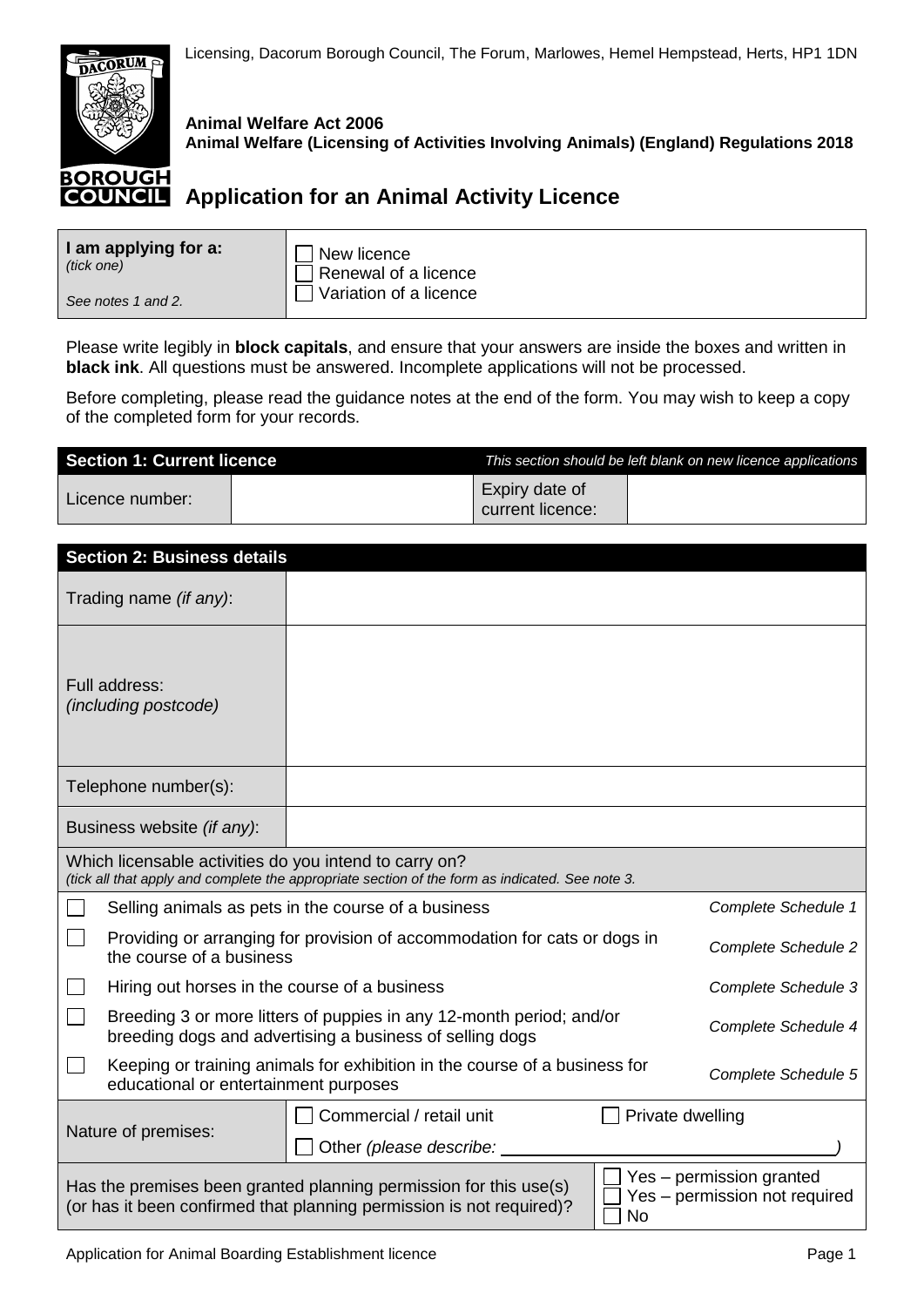

**Animal Welfare Act 2006 Animal Welfare (Licensing of Activities Involving Animals) (England) Regulations 2018**

## **COUNCIL** Application for an Animal Activity Licence

| I am applying for a: | New licence            |
|----------------------|------------------------|
| (tick one)           | Renewal of a licence   |
| See notes 1 and 2.   | Variation of a licence |

Please write legibly in **block capitals**, and ensure that your answers are inside the boxes and written in **black ink**. All questions must be answered. Incomplete applications will not be processed.

Before completing, please read the guidance notes at the end of the form. You may wish to keep a copy of the completed form for your records.

| <b>Section 1: Current licence</b> |  |                                    | This section should be left blank on new licence applications |
|-----------------------------------|--|------------------------------------|---------------------------------------------------------------|
| Licence number:                   |  | Expiry date of<br>current licence: |                                                               |

| <b>Section 2: Business details</b>                                                                                               |                                                                                                                                           |                  |                                                           |
|----------------------------------------------------------------------------------------------------------------------------------|-------------------------------------------------------------------------------------------------------------------------------------------|------------------|-----------------------------------------------------------|
| Trading name (if any):                                                                                                           |                                                                                                                                           |                  |                                                           |
| Full address:<br><i>(including postcode)</i>                                                                                     |                                                                                                                                           |                  |                                                           |
| Telephone number(s):                                                                                                             |                                                                                                                                           |                  |                                                           |
| Business website (if any):                                                                                                       |                                                                                                                                           |                  |                                                           |
| Which licensable activities do you intend to carry on?                                                                           | (tick all that apply and complete the appropriate section of the form as indicated. See note 3.                                           |                  |                                                           |
|                                                                                                                                  | Selling animals as pets in the course of a business                                                                                       |                  | Complete Schedule 1                                       |
| the course of a business                                                                                                         | Providing or arranging for provision of accommodation for cats or dogs in                                                                 |                  | <b>Complete Schedule 2</b>                                |
| Hiring out horses in the course of a business                                                                                    |                                                                                                                                           |                  | <b>Complete Schedule 3</b>                                |
| Breeding 3 or more litters of puppies in any 12-month period; and/or<br>breeding dogs and advertising a business of selling dogs |                                                                                                                                           |                  | Complete Schedule 4                                       |
| educational or entertainment purposes                                                                                            | Keeping or training animals for exhibition in the course of a business for                                                                |                  | Complete Schedule 5                                       |
|                                                                                                                                  | Commercial / retail unit                                                                                                                  | Private dwelling |                                                           |
| Nature of premises:                                                                                                              | Other (please describe:                                                                                                                   |                  |                                                           |
|                                                                                                                                  | Has the premises been granted planning permission for this use(s)<br>(or has it been confirmed that planning permission is not required)? | No               | Yes - permission granted<br>Yes - permission not required |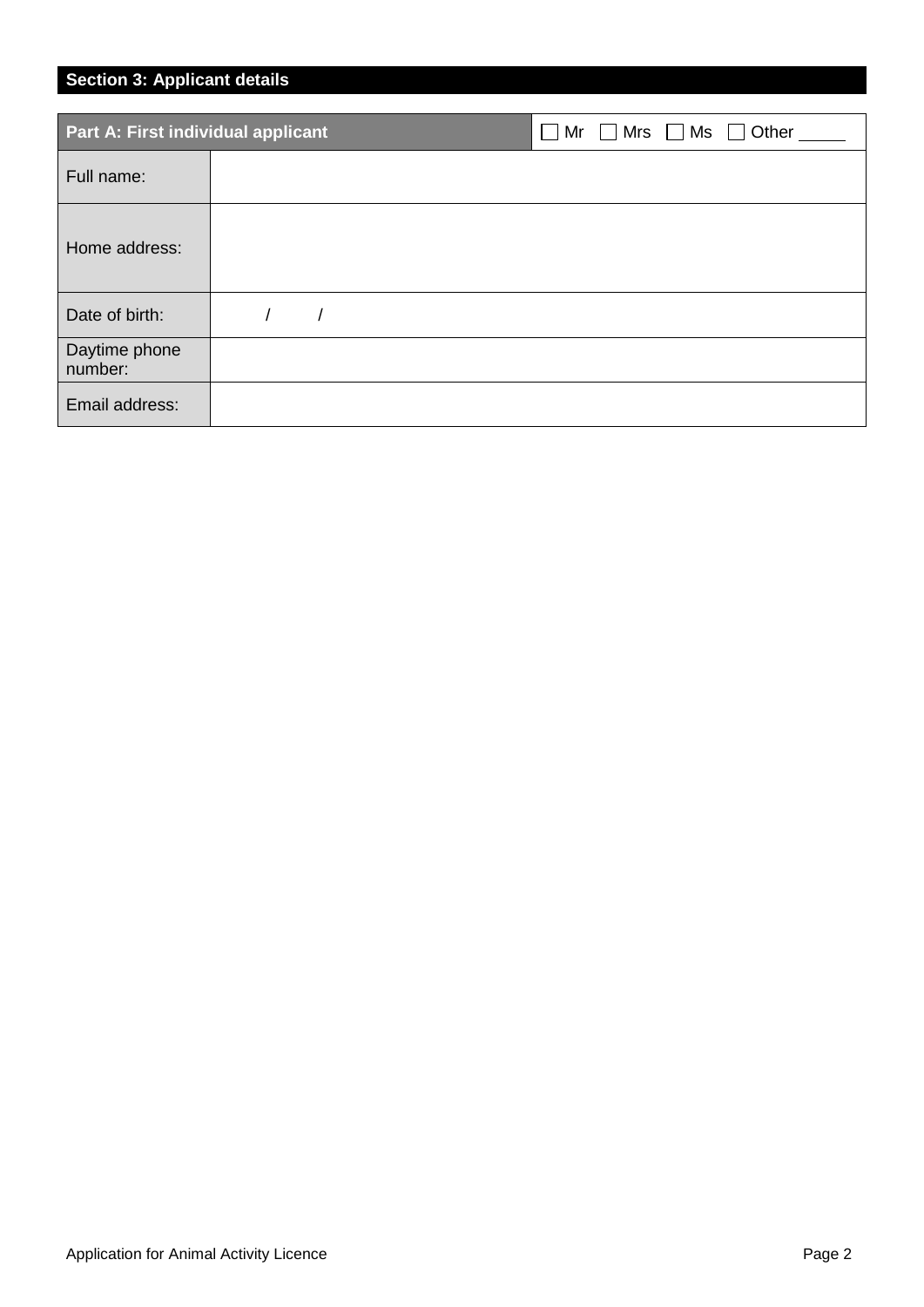## **Section 3: Applicant details**

| Part A: First individual applicant | $Mr \tMrs \tMs \tMs$ Other<br>$\sim$ |
|------------------------------------|--------------------------------------|
| Full name:                         |                                      |
| Home address:                      |                                      |
| Date of birth:                     |                                      |
| Daytime phone<br>number:           |                                      |
| Email address:                     |                                      |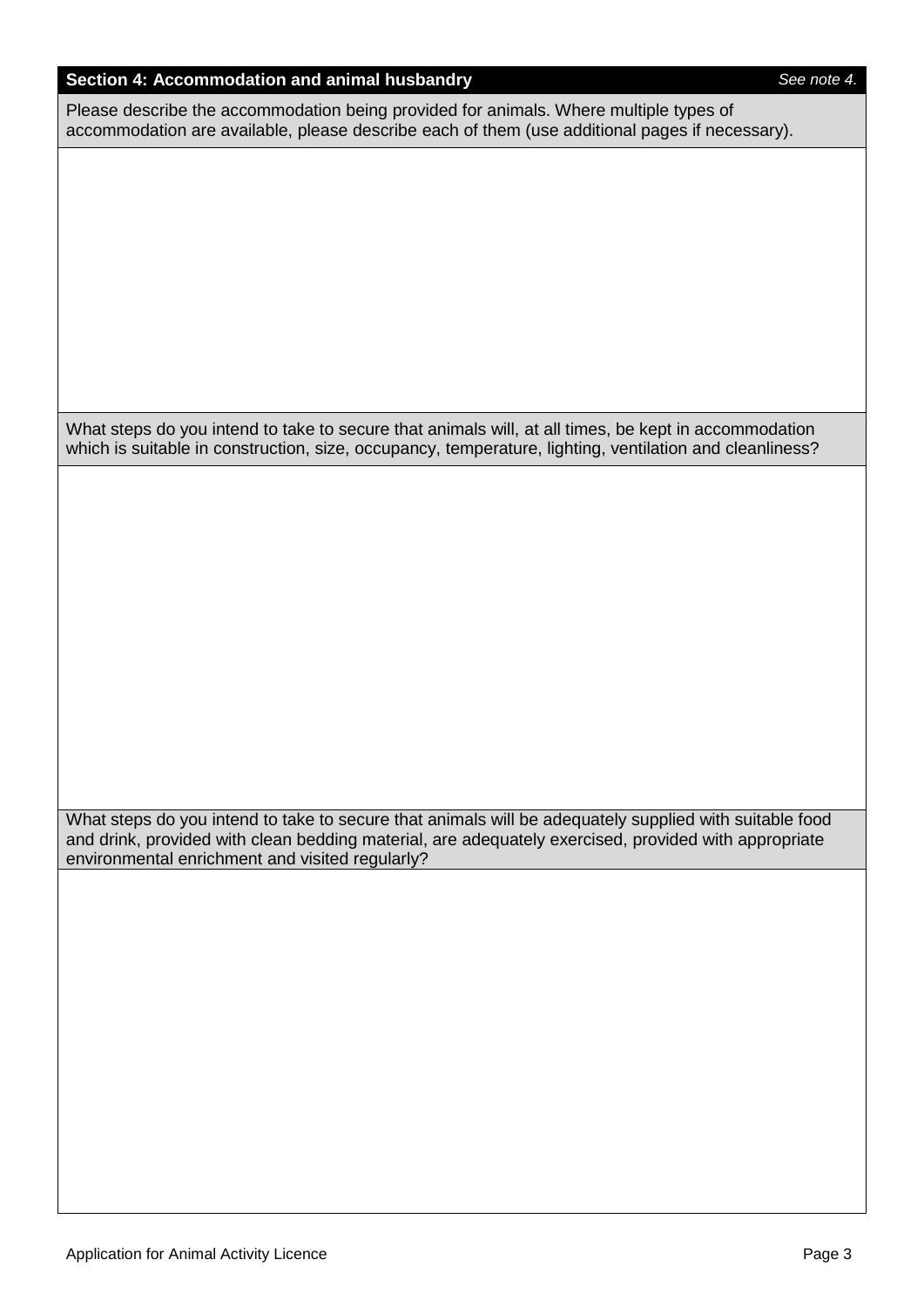### **Section 4: Accommodation and animal husbandry** *See note 4.*

Please describe the accommodation being provided for animals. Where multiple types of accommodation are available, please describe each of them (use additional pages if necessary).

What steps do you intend to take to secure that animals will, at all times, be kept in accommodation which is suitable in construction, size, occupancy, temperature, lighting, ventilation and cleanliness?

What steps do you intend to take to secure that animals will be adequately supplied with suitable food and drink, provided with clean bedding material, are adequately exercised, provided with appropriate environmental enrichment and visited regularly?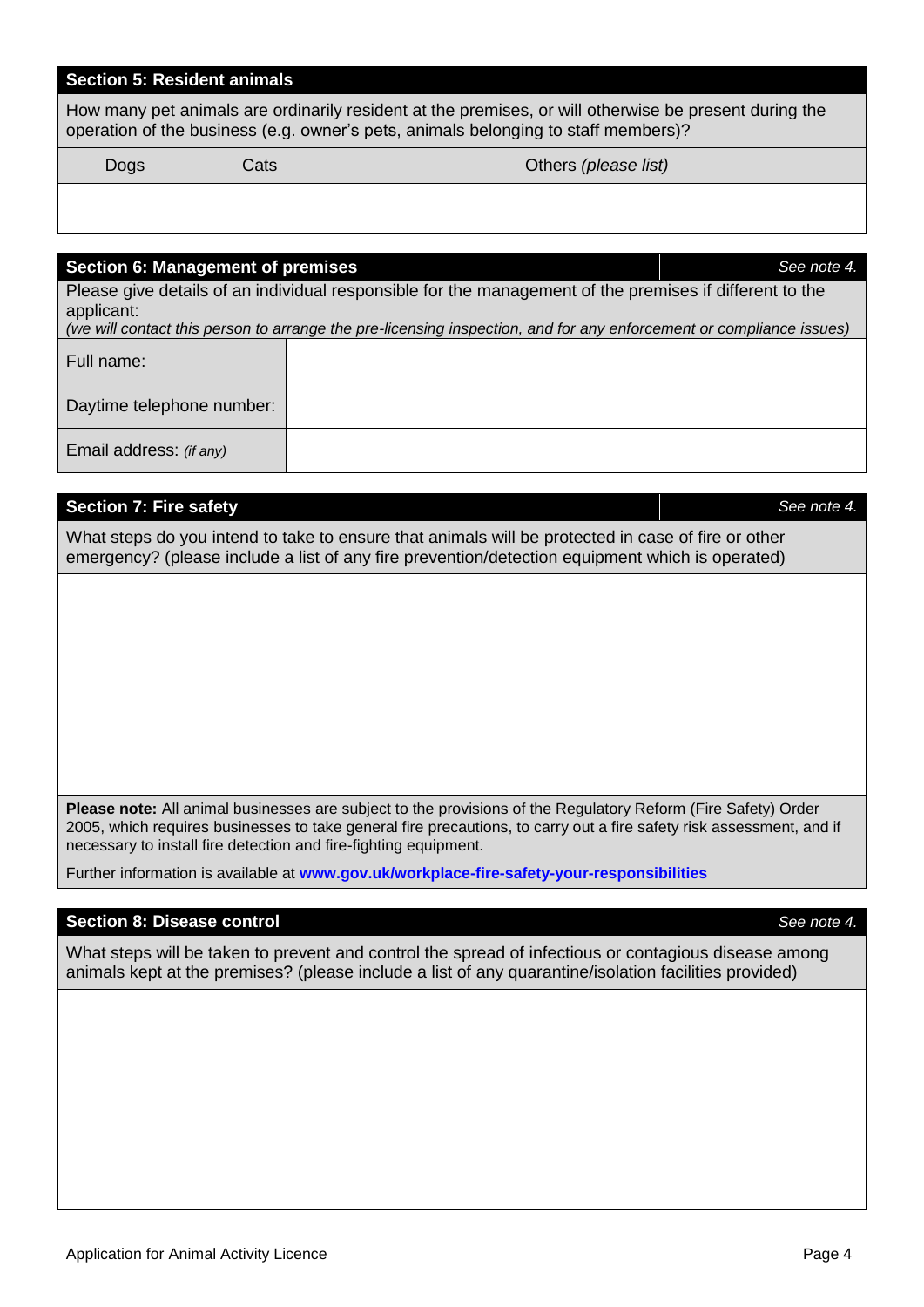### **Section 5: Resident animals**

How many pet animals are ordinarily resident at the premises, or will otherwise be present during the operation of the business (e.g. owner's pets, animals belonging to staff members)?

| Dogs | Cats | Others (please list) |
|------|------|----------------------|
|      |      |                      |

# **Section 6: Management of premises** *See note 4.* Please give details of an individual responsible for the management of the premises if different to the applicant: *(we will contact this person to arrange the pre-licensing inspection, and for any enforcement or compliance issues)* Full name: Daytime telephone number: Email address: *(if any)*

### **Section 7: Fire safety** *See note 4.*

What steps do you intend to take to ensure that animals will be protected in case of fire or other emergency? (please include a list of any fire prevention/detection equipment which is operated)

**Please note:** All animal businesses are subject to the provisions of the Regulatory Reform (Fire Safety) Order 2005, which requires businesses to take general fire precautions, to carry out a fire safety risk assessment, and if necessary to install fire detection and fire-fighting equipment.

Further information is available at **[www.gov.uk/workplace-fire-safety-your-responsibilities](http://www.gov.uk/workplace-fire-safety-your-responsibilities)**

### **Section 8: Disease control** *See note 4.*

What steps will be taken to prevent and control the spread of infectious or contagious disease among animals kept at the premises? (please include a list of any quarantine/isolation facilities provided)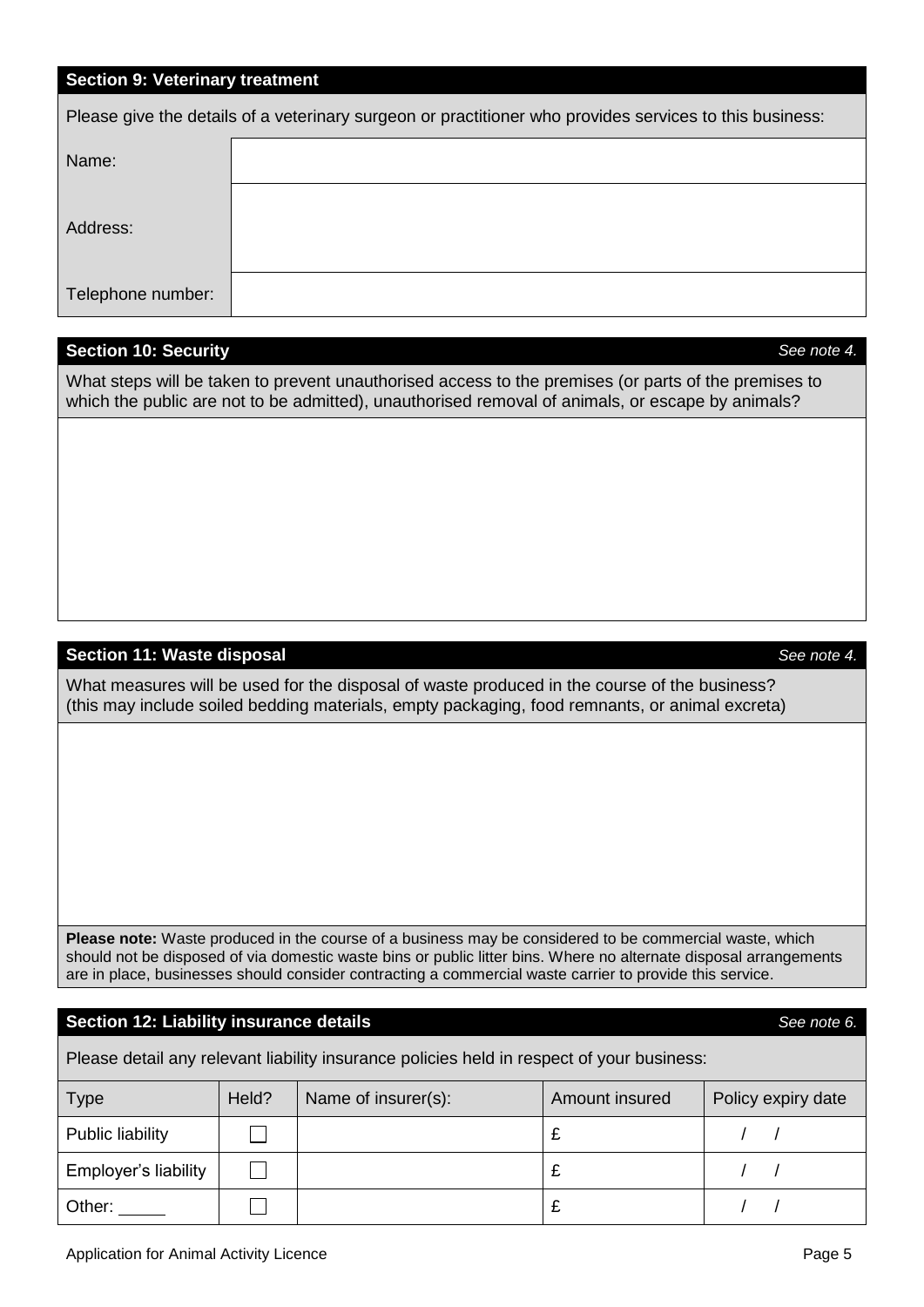### **Section 9: Veterinary treatment**

| Please give the details of a veterinary surgeon or practitioner who provides services to this business: |  |  |  |
|---------------------------------------------------------------------------------------------------------|--|--|--|
| Name:                                                                                                   |  |  |  |
| Address:                                                                                                |  |  |  |
| Telephone number:                                                                                       |  |  |  |

### **Section 10: Security** *See note 4.*

What steps will be taken to prevent unauthorised access to the premises (or parts of the premises to which the public are not to be admitted), unauthorised removal of animals, or escape by animals?

### **Section 11: Waste disposal** *See note 4.*

What measures will be used for the disposal of waste produced in the course of the business? (this may include soiled bedding materials, empty packaging, food remnants, or animal excreta)

**Please note:** Waste produced in the course of a business may be considered to be commercial waste, which should not be disposed of via domestic waste bins or public litter bins. Where no alternate disposal arrangements are in place, businesses should consider contracting a commercial waste carrier to provide this service.

### **Section 12: Liability insurance details** *See note 6.*

Please detail any relevant liability insurance policies held in respect of your business:

| <b>Type</b>             | Held? | Name of insurer(s): | Amount insured | Policy expiry date |
|-------------------------|-------|---------------------|----------------|--------------------|
| <b>Public liability</b> |       |                     |                |                    |
| Employer's liability    |       |                     |                |                    |
| Other:                  |       |                     |                |                    |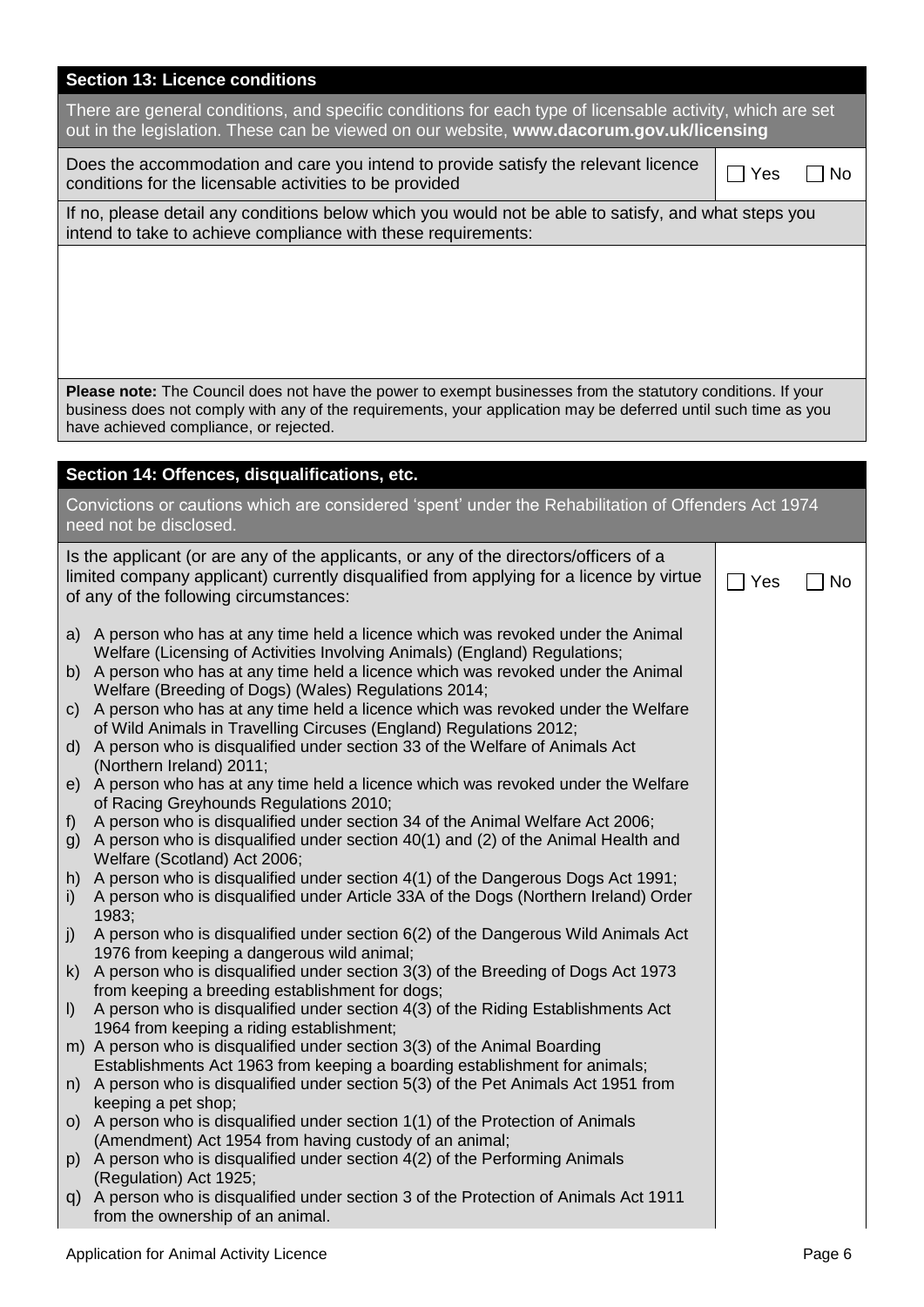| <b>Section 13: Licence conditions</b>                                                                                                                                                                                                                                                                                                                                                                                                                                                                                                                         |     |     |
|---------------------------------------------------------------------------------------------------------------------------------------------------------------------------------------------------------------------------------------------------------------------------------------------------------------------------------------------------------------------------------------------------------------------------------------------------------------------------------------------------------------------------------------------------------------|-----|-----|
| There are general conditions, and specific conditions for each type of licensable activity, which are set<br>out in the legislation. These can be viewed on our website, www.dacorum.gov.uk/licensing                                                                                                                                                                                                                                                                                                                                                         |     |     |
| Does the accommodation and care you intend to provide satisfy the relevant licence<br>conditions for the licensable activities to be provided                                                                                                                                                                                                                                                                                                                                                                                                                 | Yes | No. |
| If no, please detail any conditions below which you would not be able to satisfy, and what steps you<br>intend to take to achieve compliance with these requirements:                                                                                                                                                                                                                                                                                                                                                                                         |     |     |
|                                                                                                                                                                                                                                                                                                                                                                                                                                                                                                                                                               |     |     |
|                                                                                                                                                                                                                                                                                                                                                                                                                                                                                                                                                               |     |     |
|                                                                                                                                                                                                                                                                                                                                                                                                                                                                                                                                                               |     |     |
| Please note: The Council does not have the power to exempt businesses from the statutory conditions. If your<br>business does not comply with any of the requirements, your application may be deferred until such time as you<br>have achieved compliance, or rejected.                                                                                                                                                                                                                                                                                      |     |     |
| Section 14: Offences, disqualifications, etc.                                                                                                                                                                                                                                                                                                                                                                                                                                                                                                                 |     |     |
| Convictions or cautions which are considered 'spent' under the Rehabilitation of Offenders Act 1974<br>need not be disclosed.                                                                                                                                                                                                                                                                                                                                                                                                                                 |     |     |
| Is the applicant (or are any of the applicants, or any of the directors/officers of a<br>limited company applicant) currently disqualified from applying for a licence by virtue<br>of any of the following circumstances:                                                                                                                                                                                                                                                                                                                                    | Yes | No. |
| A person who has at any time held a licence which was revoked under the Animal<br>a)<br>Welfare (Licensing of Activities Involving Animals) (England) Regulations;<br>b) A person who has at any time held a licence which was revoked under the Animal<br>Welfare (Breeding of Dogs) (Wales) Regulations 2014;<br>c) A person who has at any time held a licence which was revoked under the Welfare<br>of Wild Animals in Travelling Circuses (England) Regulations 2012;<br>d) A person who is disqualified under section 33 of the Welfare of Animals Act |     |     |
| (Northern Ireland) 2011;<br>e) A person who has at any time held a licence which was revoked under the Welfare<br>of Racing Greyhounds Regulations 2010;<br>A person who is disqualified under section 34 of the Animal Welfare Act 2006;<br>f)<br>g) A person who is disqualified under section 40(1) and (2) of the Animal Health and<br>Welfare (Scotland) Act 2006;                                                                                                                                                                                       |     |     |
| h) A person who is disqualified under section 4(1) of the Dangerous Dogs Act 1991;<br>A person who is disqualified under Article 33A of the Dogs (Northern Ireland) Order<br>i)<br>1983;                                                                                                                                                                                                                                                                                                                                                                      |     |     |
| A person who is disqualified under section 6(2) of the Dangerous Wild Animals Act<br>j)<br>1976 from keeping a dangerous wild animal;<br>k) A person who is disqualified under section 3(3) of the Breeding of Dogs Act 1973                                                                                                                                                                                                                                                                                                                                  |     |     |
| from keeping a breeding establishment for dogs;<br>A person who is disqualified under section 4(3) of the Riding Establishments Act<br>$\vert$                                                                                                                                                                                                                                                                                                                                                                                                                |     |     |
| 1964 from keeping a riding establishment;<br>m) A person who is disqualified under section 3(3) of the Animal Boarding                                                                                                                                                                                                                                                                                                                                                                                                                                        |     |     |
| Establishments Act 1963 from keeping a boarding establishment for animals;<br>n) A person who is disqualified under section 5(3) of the Pet Animals Act 1951 from<br>keeping a pet shop;                                                                                                                                                                                                                                                                                                                                                                      |     |     |
| o) A person who is disqualified under section 1(1) of the Protection of Animals<br>(Amendment) Act 1954 from having custody of an animal;                                                                                                                                                                                                                                                                                                                                                                                                                     |     |     |
| p) A person who is disqualified under section 4(2) of the Performing Animals<br>(Regulation) Act 1925;                                                                                                                                                                                                                                                                                                                                                                                                                                                        |     |     |
| q) A person who is disqualified under section 3 of the Protection of Animals Act 1911<br>from the ownership of an animal.                                                                                                                                                                                                                                                                                                                                                                                                                                     |     |     |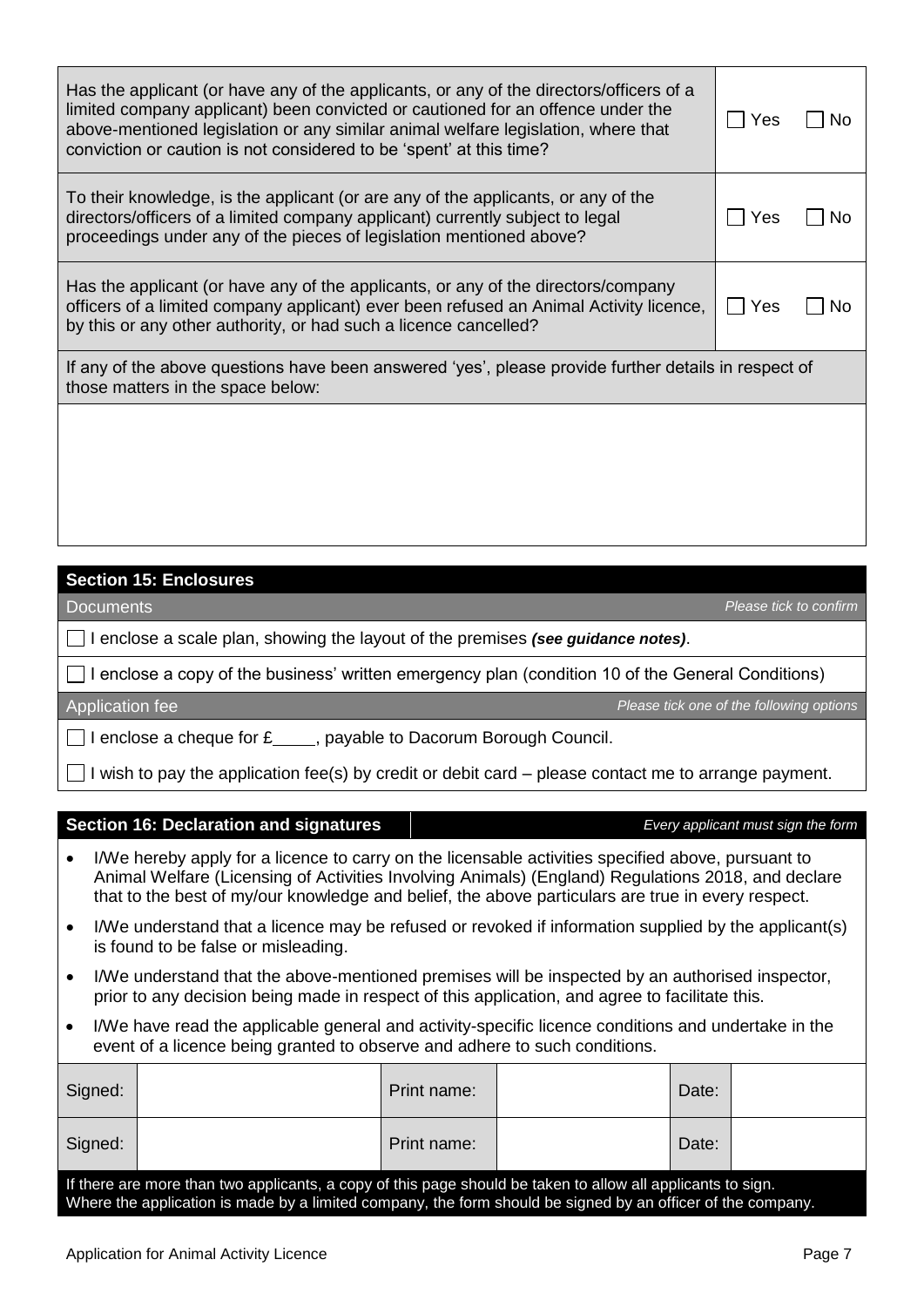| If any of the above questions have been answered 'yes', please provide further details in respect of<br>those matters in the space below:                                                                                                                                                                                              |     |     |
|----------------------------------------------------------------------------------------------------------------------------------------------------------------------------------------------------------------------------------------------------------------------------------------------------------------------------------------|-----|-----|
| Has the applicant (or have any of the applicants, or any of the directors/company<br>officers of a limited company applicant) ever been refused an Animal Activity licence,<br>by this or any other authority, or had such a licence cancelled?                                                                                        | Yes | No. |
| To their knowledge, is the applicant (or are any of the applicants, or any of the<br>directors/officers of a limited company applicant) currently subject to legal<br>proceedings under any of the pieces of legislation mentioned above?                                                                                              | Yes | No. |
| Has the applicant (or have any of the applicants, or any of the directors/officers of a<br>limited company applicant) been convicted or cautioned for an offence under the<br>above-mentioned legislation or any similar animal welfare legislation, where that<br>conviction or caution is not considered to be 'spent' at this time? | Yes | No  |

## **Section 15: Enclosures**

I enclose a scale plan, showing the layout of the premises *(see guidance notes)*.

 $\Box$  I enclose a copy of the business' written emergency plan (condition 10 of the General Conditions)

Application fee *Please tick one of the following options*

 $\Box$  I enclose a cheque for  $f$  , payable to Dacorum Borough Council.

 $\Box$  I wish to pay the application fee(s) by credit or debit card – please contact me to arrange payment.

### **Section 16: Declaration and signatures** *Every applicant must sign the form*

- I/We hereby apply for a licence to carry on the licensable activities specified above, pursuant to Animal Welfare (Licensing of Activities Involving Animals) (England) Regulations 2018, and declare that to the best of my/our knowledge and belief, the above particulars are true in every respect.
- I/We understand that a licence may be refused or revoked if information supplied by the applicant(s) is found to be false or misleading.
- I/We understand that the above-mentioned premises will be inspected by an authorised inspector, prior to any decision being made in respect of this application, and agree to facilitate this.
- I/We have read the applicable general and activity-specific licence conditions and undertake in the event of a licence being granted to observe and adhere to such conditions.

| Signed:                                                                                                                                                                                                                    |  | Print name: |  | Date: |  |  |
|----------------------------------------------------------------------------------------------------------------------------------------------------------------------------------------------------------------------------|--|-------------|--|-------|--|--|
| Signed:                                                                                                                                                                                                                    |  | Print name: |  | Date: |  |  |
| If there are more than two applicants, a copy of this page should be taken to allow all applicants to sign.<br>Where the application is made by a limited company, the form should be signed by an officer of the company. |  |             |  |       |  |  |

Documents *Please tick to confirm*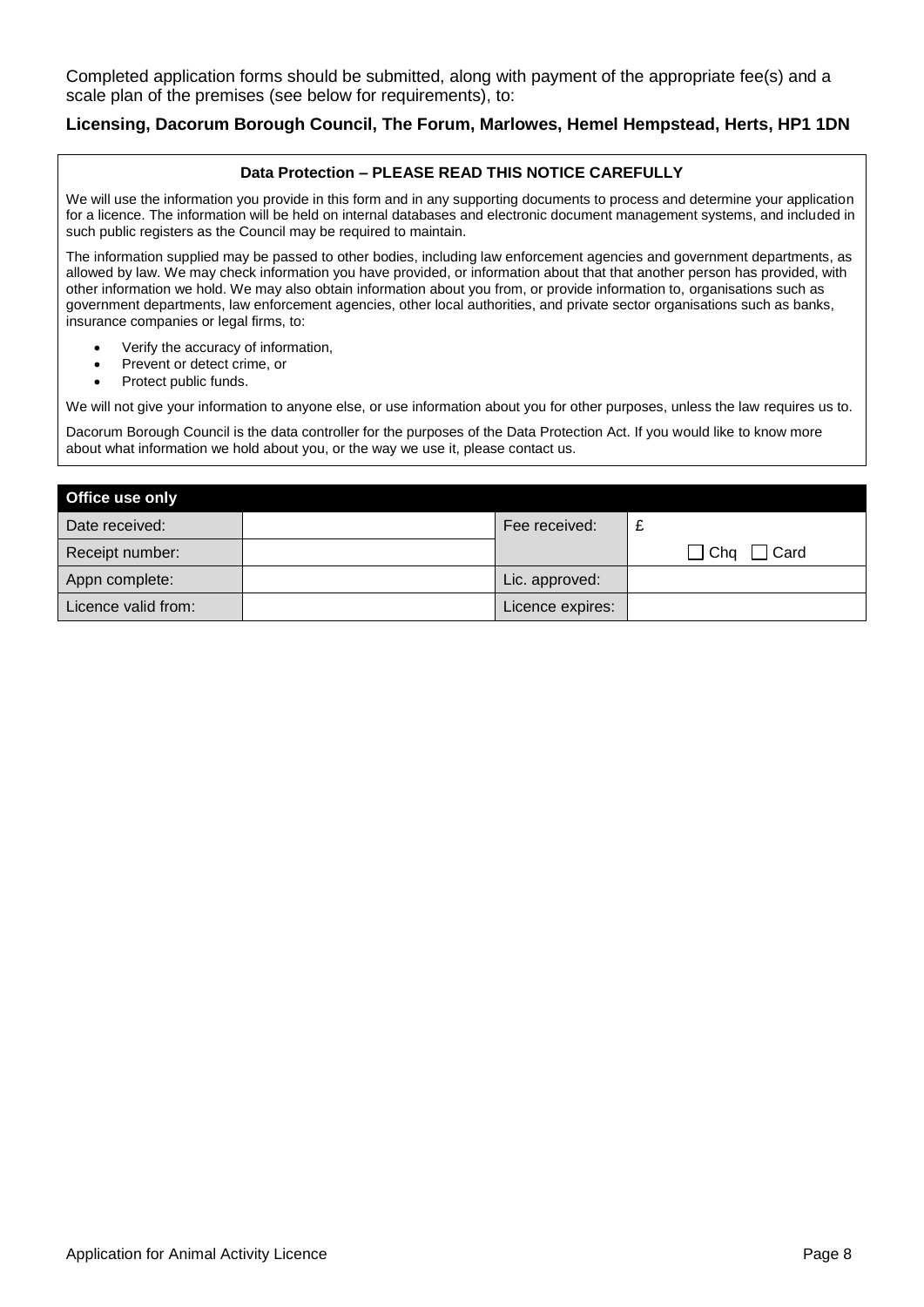Completed application forms should be submitted, along with payment of the appropriate fee(s) and a scale plan of the premises (see below for requirements), to:

### **Licensing, Dacorum Borough Council, The Forum, Marlowes, Hemel Hempstead, Herts, HP1 1DN**

### **Data Protection – PLEASE READ THIS NOTICE CAREFULLY**

We will use the information you provide in this form and in any supporting documents to process and determine your application for a licence. The information will be held on internal databases and electronic document management systems, and included in such public registers as the Council may be required to maintain.

The information supplied may be passed to other bodies, including law enforcement agencies and government departments, as allowed by law. We may check information you have provided, or information about that that another person has provided, with other information we hold. We may also obtain information about you from, or provide information to, organisations such as government departments, law enforcement agencies, other local authorities, and private sector organisations such as banks, insurance companies or legal firms, to:

- Verify the accuracy of information,
- Prevent or detect crime, or
- Protect public funds.

We will not give your information to anyone else, or use information about you for other purposes, unless the law requires us to.

Dacorum Borough Council is the data controller for the purposes of the Data Protection Act. If you would like to know more about what information we hold about you, or the way we use it, please contact us.

| Office use only     |                  |               |
|---------------------|------------------|---------------|
| Date received:      | Fee received:    |               |
| Receipt number:     |                  | ∃ Chq<br>Card |
| Appn complete:      | Lic. approved:   |               |
| Licence valid from: | Licence expires: |               |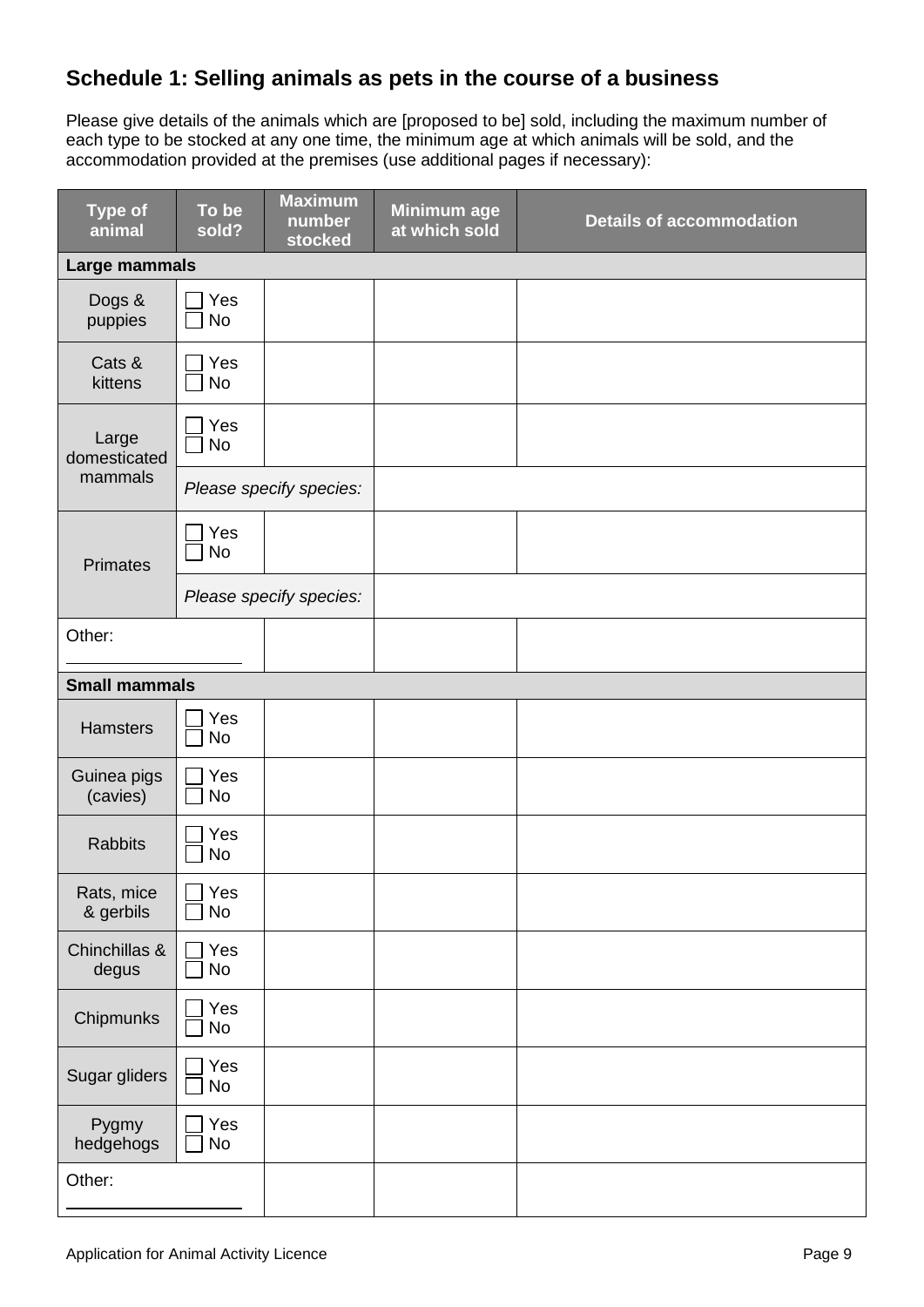## **Schedule 1: Selling animals as pets in the course of a business**

Please give details of the animals which are [proposed to be] sold, including the maximum number of each type to be stocked at any one time, the minimum age at which animals will be sold, and the accommodation provided at the premises (use additional pages if necessary):

| <b>Type of</b><br>animal | To be<br>sold?   | <b>Maximum</b><br>number<br>stocked | <b>Minimum age</b><br>at which sold | <b>Details of accommodation</b> |
|--------------------------|------------------|-------------------------------------|-------------------------------------|---------------------------------|
| Large mammals            |                  |                                     |                                     |                                 |
| Dogs &<br>puppies        | Yes<br><b>No</b> |                                     |                                     |                                 |
| Cats &<br>kittens        | Yes<br><b>No</b> |                                     |                                     |                                 |
| Large<br>domesticated    | Yes<br><b>No</b> |                                     |                                     |                                 |
| mammals                  |                  | Please specify species:             |                                     |                                 |
| <b>Primates</b>          | Yes<br><b>No</b> |                                     |                                     |                                 |
|                          |                  | Please specify species:             |                                     |                                 |
| Other:                   |                  |                                     |                                     |                                 |
| <b>Small mammals</b>     |                  |                                     |                                     |                                 |
| <b>Hamsters</b>          | Yes<br>No        |                                     |                                     |                                 |
| Guinea pigs<br>(cavies)  | Yes<br><b>No</b> |                                     |                                     |                                 |
| <b>Rabbits</b>           | Yes<br><b>No</b> |                                     |                                     |                                 |
| Rats, mice<br>& gerbils  | Yes<br>No        |                                     |                                     |                                 |
| Chinchillas &<br>degus   | Yes<br>No        |                                     |                                     |                                 |
| Chipmunks                | Yes<br>No        |                                     |                                     |                                 |
| Sugar gliders            | Yes<br>No        |                                     |                                     |                                 |
| Pygmy<br>hedgehogs       | Yes<br>No        |                                     |                                     |                                 |
| Other:                   |                  |                                     |                                     |                                 |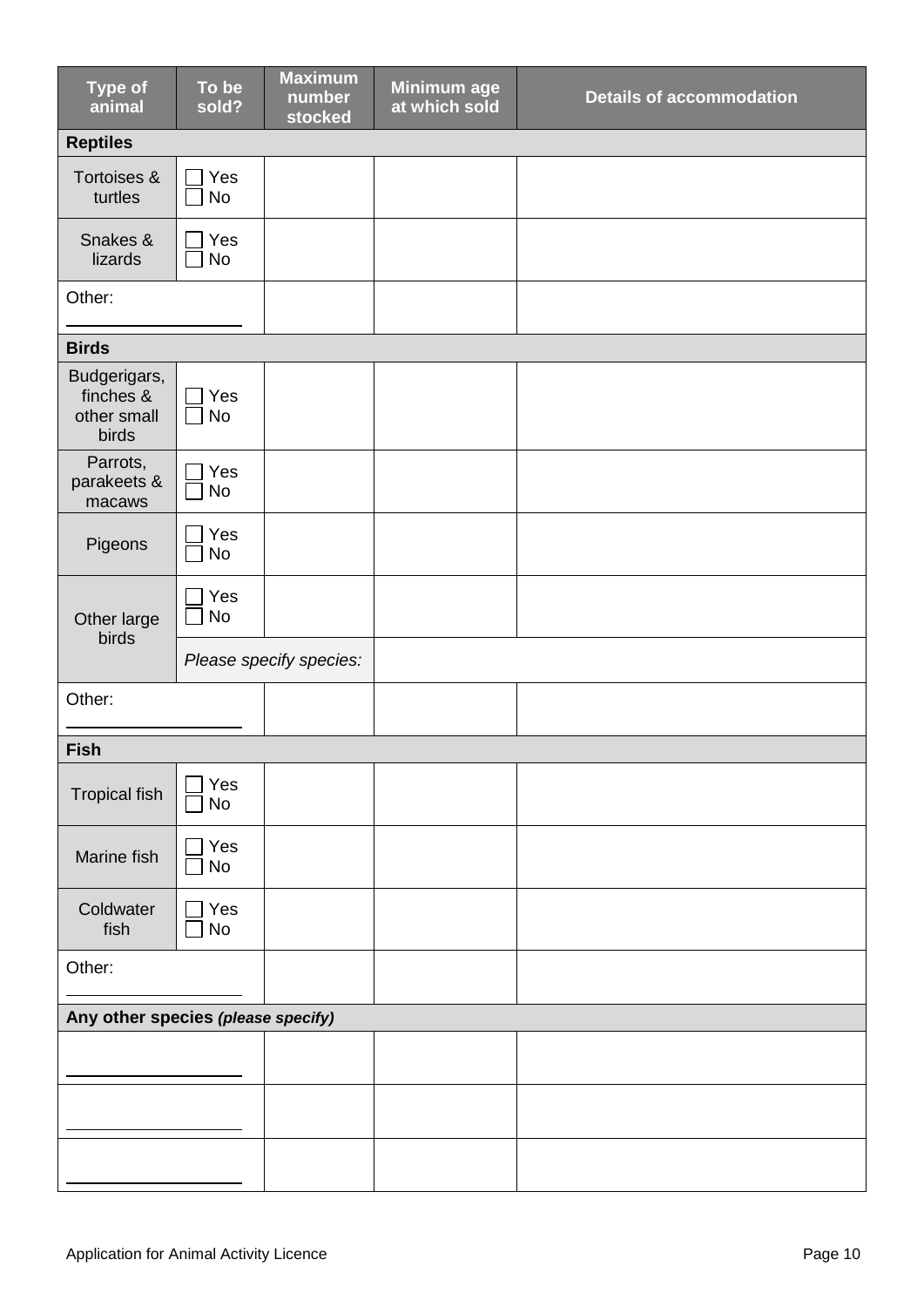| <b>Type of</b><br>animal                          | To be<br>sold?   | <b>Maximum</b><br>number<br>stocked | Minimum age<br>at which sold | <b>Details of accommodation</b> |  |  |  |  |
|---------------------------------------------------|------------------|-------------------------------------|------------------------------|---------------------------------|--|--|--|--|
| <b>Reptiles</b>                                   |                  |                                     |                              |                                 |  |  |  |  |
| Tortoises &<br>turtles                            | Yes<br><b>No</b> |                                     |                              |                                 |  |  |  |  |
| Snakes &<br>lizards                               | Yes<br><b>No</b> |                                     |                              |                                 |  |  |  |  |
| Other:                                            |                  |                                     |                              |                                 |  |  |  |  |
| <b>Birds</b>                                      |                  |                                     |                              |                                 |  |  |  |  |
| Budgerigars,<br>finches &<br>other small<br>birds | Yes<br><b>No</b> |                                     |                              |                                 |  |  |  |  |
| Parrots,<br>parakeets &<br>macaws                 | Yes<br><b>No</b> |                                     |                              |                                 |  |  |  |  |
| Pigeons                                           | Yes<br><b>No</b> |                                     |                              |                                 |  |  |  |  |
| Other large<br>birds                              | Yes<br><b>No</b> |                                     |                              |                                 |  |  |  |  |
|                                                   |                  | Please specify species:             |                              |                                 |  |  |  |  |
| Other:                                            |                  |                                     |                              |                                 |  |  |  |  |
| <b>Fish</b>                                       |                  |                                     |                              |                                 |  |  |  |  |
| <b>Tropical fish</b>                              | Yes<br><b>No</b> |                                     |                              |                                 |  |  |  |  |
| Marine fish                                       | Yes<br>No        |                                     |                              |                                 |  |  |  |  |
| Coldwater<br>fish                                 | Yes<br><b>No</b> |                                     |                              |                                 |  |  |  |  |
| Other:                                            |                  |                                     |                              |                                 |  |  |  |  |
| Any other species (please specify)                |                  |                                     |                              |                                 |  |  |  |  |
|                                                   |                  |                                     |                              |                                 |  |  |  |  |
|                                                   |                  |                                     |                              |                                 |  |  |  |  |
|                                                   |                  |                                     |                              |                                 |  |  |  |  |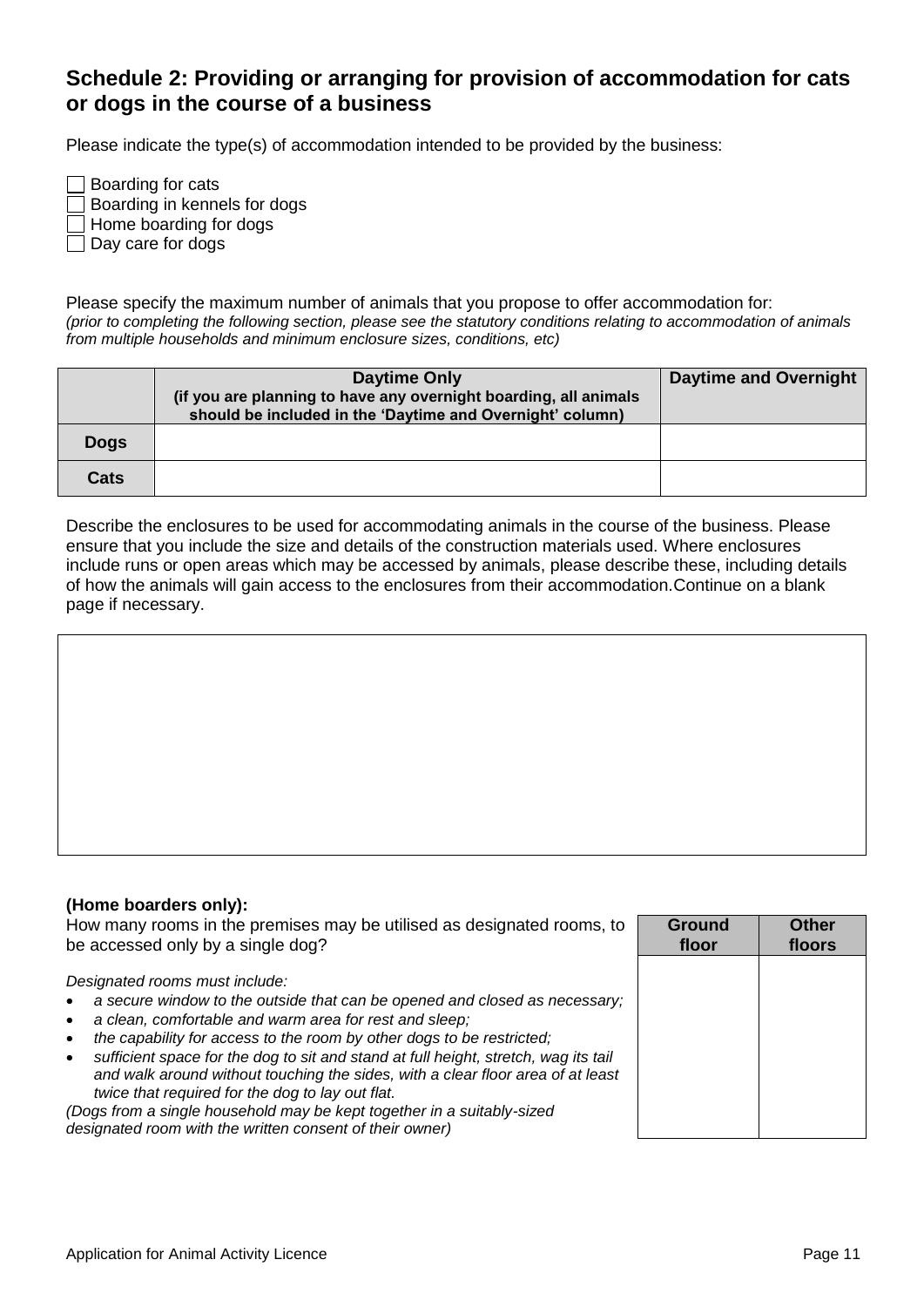## **Schedule 2: Providing or arranging for provision of accommodation for cats or dogs in the course of a business**

Please indicate the type(s) of accommodation intended to be provided by the business:

Boarding for cats Boarding in kennels for dogs Home boarding for dogs  $\Box$  Day care for dogs

Please specify the maximum number of animals that you propose to offer accommodation for: *(prior to completing the following section, please see the statutory conditions relating to accommodation of animals from multiple households and minimum enclosure sizes, conditions, etc)*

|             | Daytime Only<br>(if you are planning to have any overnight boarding, all animals<br>should be included in the 'Daytime and Overnight' column) | <b>Daytime and Overnight</b> |
|-------------|-----------------------------------------------------------------------------------------------------------------------------------------------|------------------------------|
| <b>Dogs</b> |                                                                                                                                               |                              |
| Cats        |                                                                                                                                               |                              |

Describe the enclosures to be used for accommodating animals in the course of the business. Please ensure that you include the size and details of the construction materials used. Where enclosures include runs or open areas which may be accessed by animals, please describe these, including details of how the animals will gain access to the enclosures from their accommodation.Continue on a blank page if necessary.



### **(Home boarders only):**

How many rooms in the premises may be utilised as designated rooms, to be accessed only by a single dog? *Designated rooms must include: a secure window to the outside that can be opened and closed as necessary; a clean, comfortable and warm area for rest and sleep; the capability for access to the room by other dogs to be restricted; sufficient space for the dog to sit and stand at full height, stretch, wag its tail and walk around without touching the sides, with a clear floor area of at least twice that required for the dog to lay out flat. (Dogs from a single household may be kept together in a suitably-sized designated room with the written consent of their owner)* **Ground floor Other floors**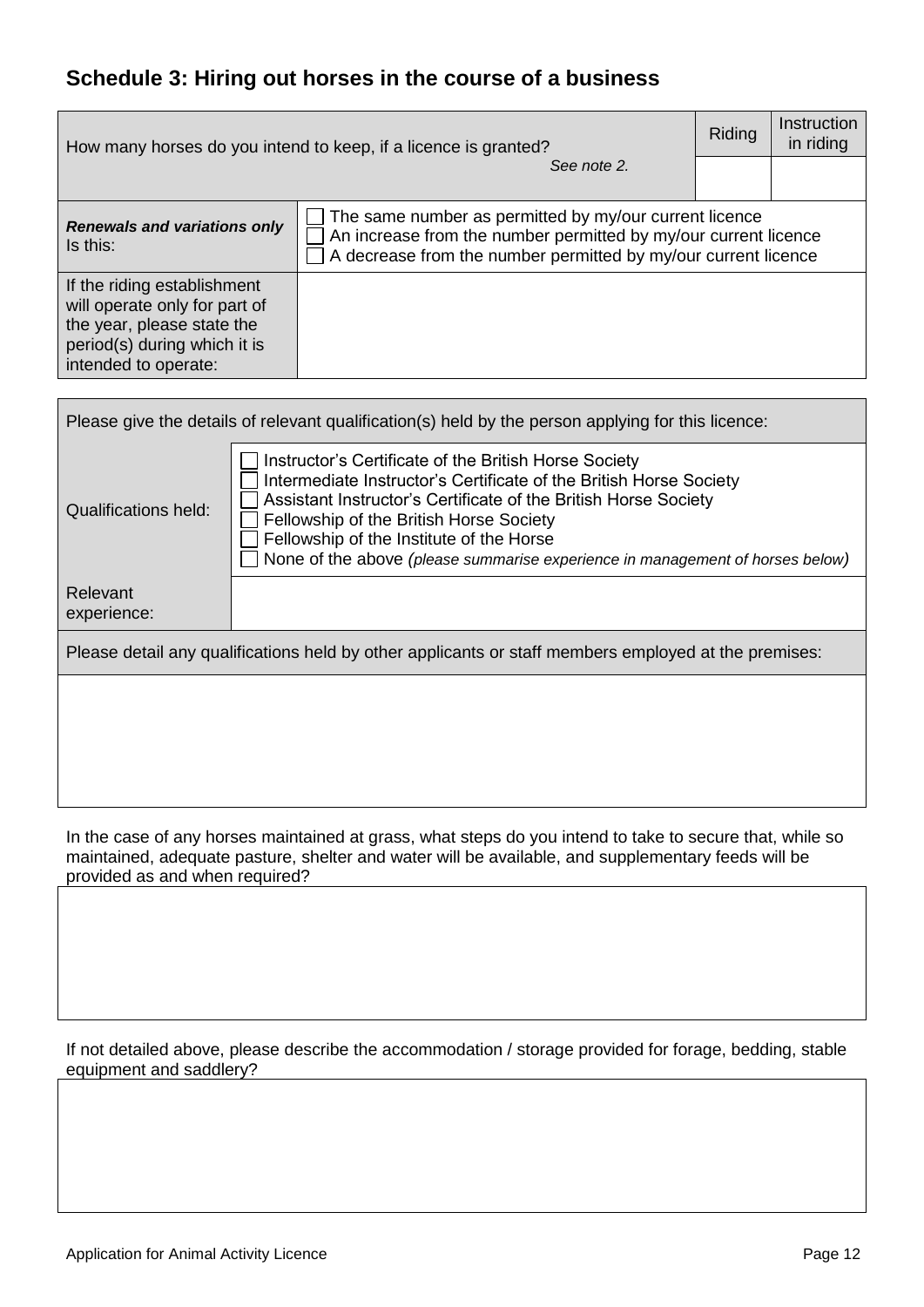## **Schedule 3: Hiring out horses in the course of a business**

| How many horses do you intend to keep, if a licence is granted?                                                                                    | Riding                                                                                                                                                                                      | Instruction<br>in riding |  |
|----------------------------------------------------------------------------------------------------------------------------------------------------|---------------------------------------------------------------------------------------------------------------------------------------------------------------------------------------------|--------------------------|--|
| See note 2.                                                                                                                                        |                                                                                                                                                                                             |                          |  |
| <b>Renewals and variations only</b><br>Is this:                                                                                                    | The same number as permitted by my/our current licence<br>An increase from the number permitted by my/our current licence<br>A decrease from the number permitted by my/our current licence |                          |  |
| If the riding establishment<br>will operate only for part of<br>the year, please state the<br>period(s) during which it is<br>intended to operate: |                                                                                                                                                                                             |                          |  |

| Please give the details of relevant qualification(s) held by the person applying for this licence:   |                                                                                                                                                                                                                                                                                                                                                                        |  |  |  |  |  |
|------------------------------------------------------------------------------------------------------|------------------------------------------------------------------------------------------------------------------------------------------------------------------------------------------------------------------------------------------------------------------------------------------------------------------------------------------------------------------------|--|--|--|--|--|
| Qualifications held:                                                                                 | Instructor's Certificate of the British Horse Society<br>Intermediate Instructor's Certificate of the British Horse Society<br>Assistant Instructor's Certificate of the British Horse Society<br>Fellowship of the British Horse Society<br>Fellowship of the Institute of the Horse<br>None of the above (please summarise experience in management of horses below) |  |  |  |  |  |
| Relevant<br>experience:                                                                              |                                                                                                                                                                                                                                                                                                                                                                        |  |  |  |  |  |
| Please detail any qualifications held by other applicants or staff members employed at the premises: |                                                                                                                                                                                                                                                                                                                                                                        |  |  |  |  |  |
|                                                                                                      |                                                                                                                                                                                                                                                                                                                                                                        |  |  |  |  |  |
|                                                                                                      |                                                                                                                                                                                                                                                                                                                                                                        |  |  |  |  |  |
|                                                                                                      |                                                                                                                                                                                                                                                                                                                                                                        |  |  |  |  |  |

In the case of any horses maintained at grass, what steps do you intend to take to secure that, while so maintained, adequate pasture, shelter and water will be available, and supplementary feeds will be provided as and when required?

If not detailed above, please describe the accommodation / storage provided for forage, bedding, stable equipment and saddlery?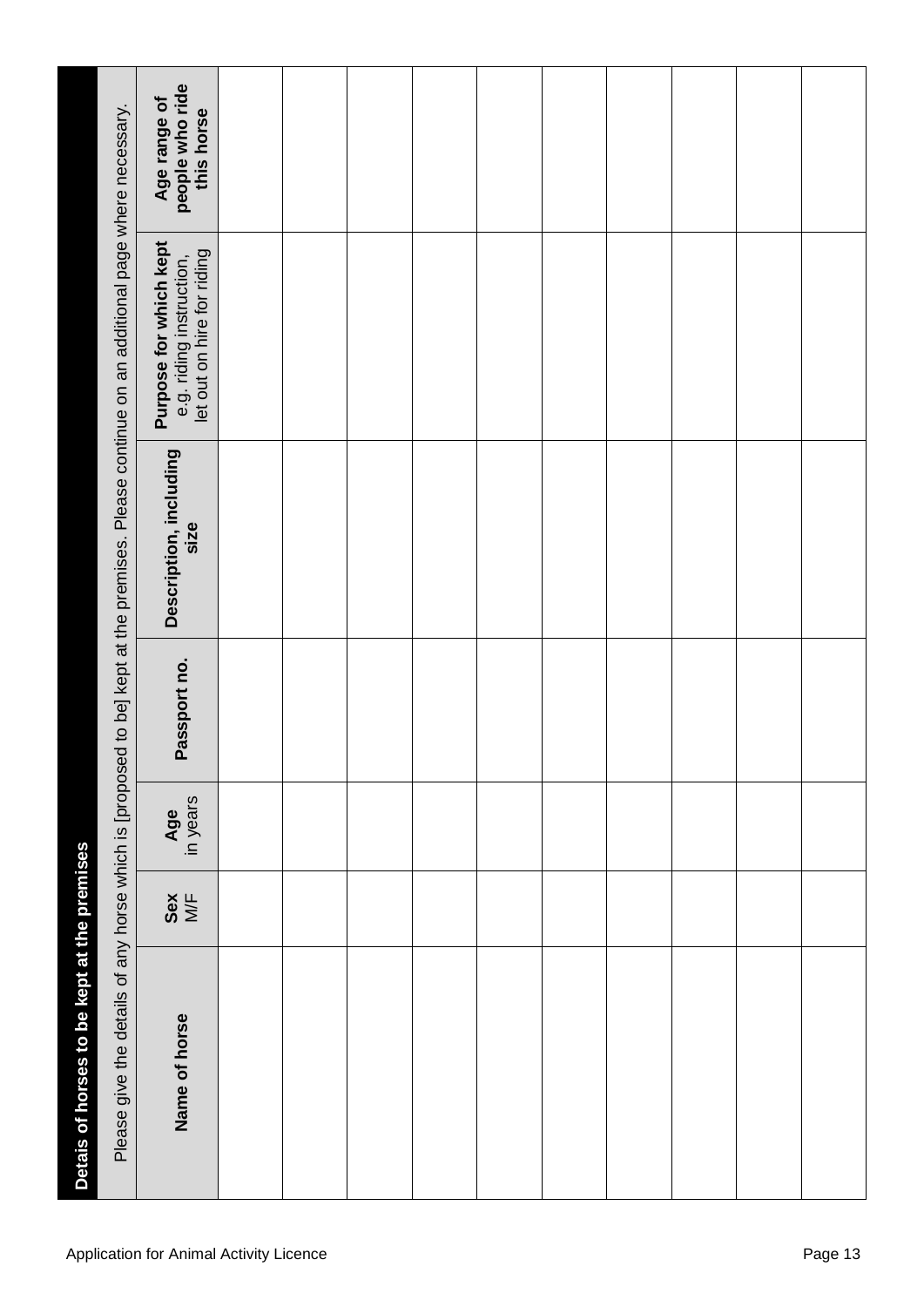| Please give the details of any horse which is [proposed to be] kept at the premises. Please continue on an additional page where necessary. | people who ride<br>this horse<br>Age range of                                           |  |  |  |  |  |  |  |  |
|---------------------------------------------------------------------------------------------------------------------------------------------|-----------------------------------------------------------------------------------------|--|--|--|--|--|--|--|--|
|                                                                                                                                             | <b>Purpose for which kept</b><br>e.g. riding instruction,<br>let out on hire for riding |  |  |  |  |  |  |  |  |
|                                                                                                                                             | Description, including<br>size                                                          |  |  |  |  |  |  |  |  |
|                                                                                                                                             | Passport no.                                                                            |  |  |  |  |  |  |  |  |
|                                                                                                                                             | Age<br>in years                                                                         |  |  |  |  |  |  |  |  |
|                                                                                                                                             | $rac{6}{N}$                                                                             |  |  |  |  |  |  |  |  |
| Detais of horses to be kept at the premises                                                                                                 | Name of horse                                                                           |  |  |  |  |  |  |  |  |
|                                                                                                                                             | <b>Application for Animal Activity Licence</b><br>Page 13                               |  |  |  |  |  |  |  |  |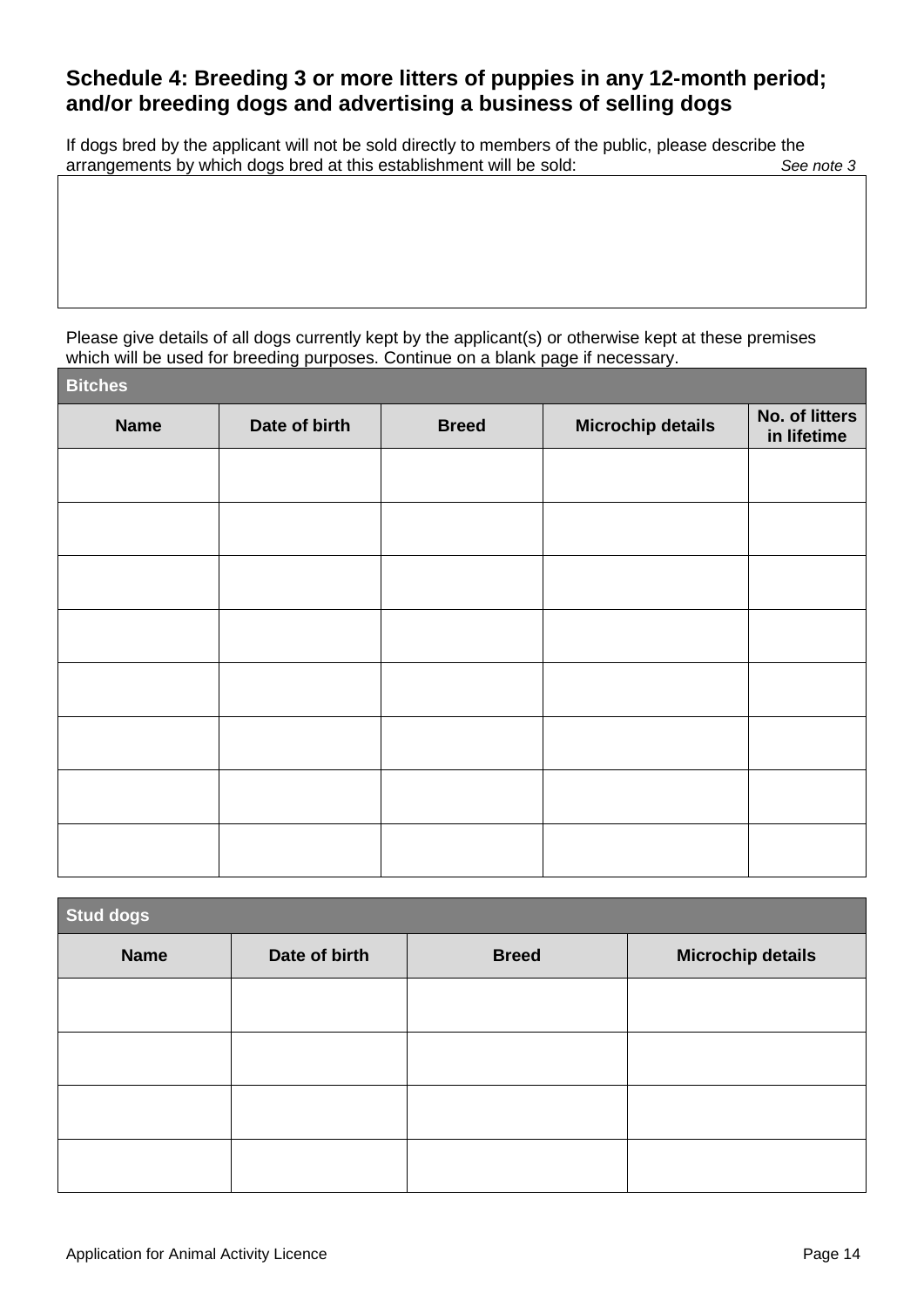## **Schedule 4: Breeding 3 or more litters of puppies in any 12-month period; and/or breeding dogs and advertising a business of selling dogs**

If dogs bred by the applicant will not be sold directly to members of the public, please describe the arrangements by which dogs bred at this establishment will be sold: *See note 3*

Please give details of all dogs currently kept by the applicant(s) or otherwise kept at these premises which will be used for breeding purposes. Continue on a blank page if necessary.

| <b>Bitches</b><br>ı |               |              |                          |                               |
|---------------------|---------------|--------------|--------------------------|-------------------------------|
| <b>Name</b>         | Date of birth | <b>Breed</b> | <b>Microchip details</b> | No. of litters<br>in lifetime |
|                     |               |              |                          |                               |
|                     |               |              |                          |                               |
|                     |               |              |                          |                               |
|                     |               |              |                          |                               |
|                     |               |              |                          |                               |
|                     |               |              |                          |                               |
|                     |               |              |                          |                               |
|                     |               |              |                          |                               |

| Stud dogs   |               |              |                          |  |  |  |  |
|-------------|---------------|--------------|--------------------------|--|--|--|--|
| <b>Name</b> | Date of birth | <b>Breed</b> | <b>Microchip details</b> |  |  |  |  |
|             |               |              |                          |  |  |  |  |
|             |               |              |                          |  |  |  |  |
|             |               |              |                          |  |  |  |  |
|             |               |              |                          |  |  |  |  |
|             |               |              |                          |  |  |  |  |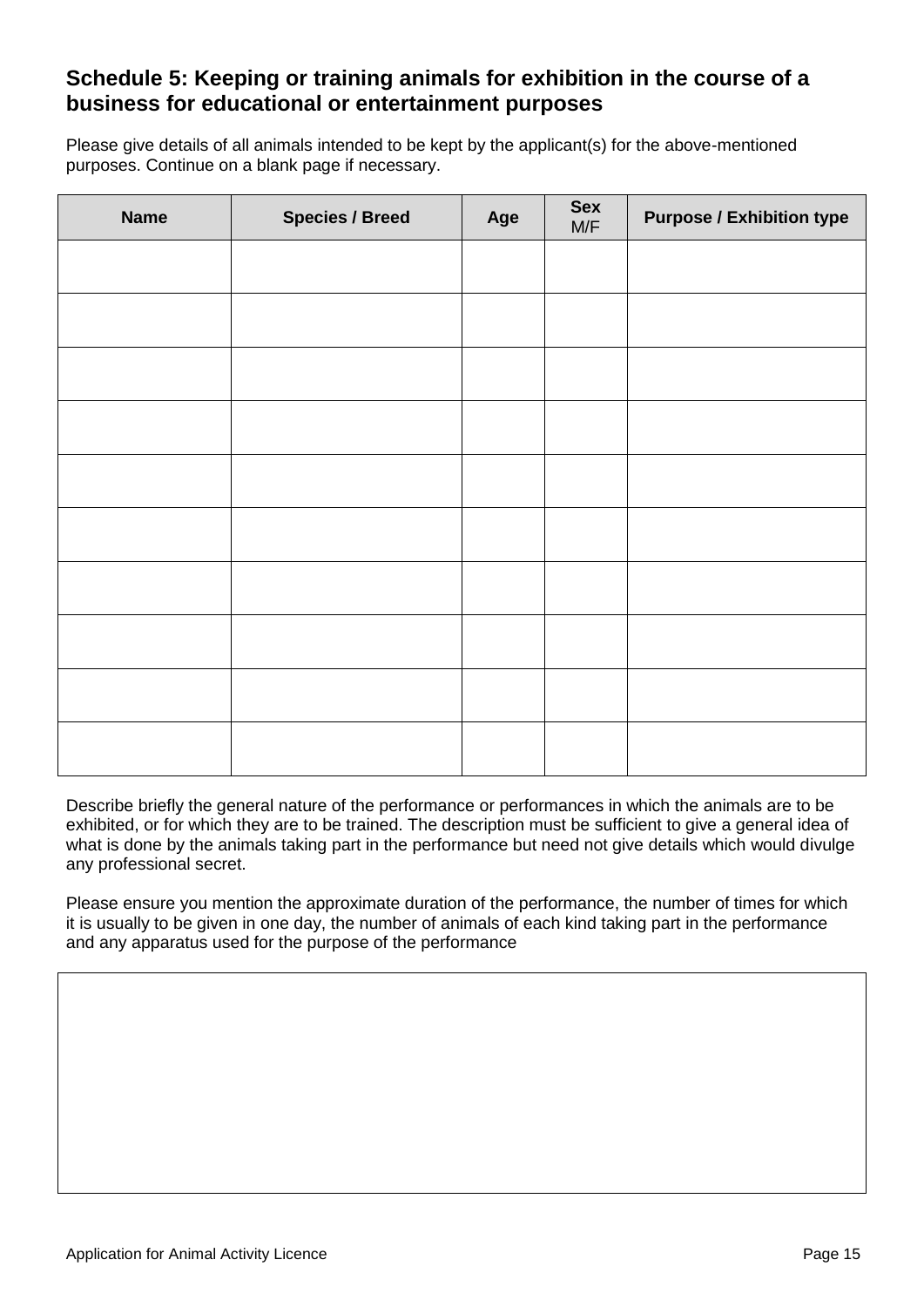## **Schedule 5: Keeping or training animals for exhibition in the course of a business for educational or entertainment purposes**

Please give details of all animals intended to be kept by the applicant(s) for the above-mentioned purposes. Continue on a blank page if necessary.

| <b>Name</b> | <b>Species / Breed</b> | Age | <b>Sex</b><br>M/F | <b>Purpose / Exhibition type</b> |
|-------------|------------------------|-----|-------------------|----------------------------------|
|             |                        |     |                   |                                  |
|             |                        |     |                   |                                  |
|             |                        |     |                   |                                  |
|             |                        |     |                   |                                  |
|             |                        |     |                   |                                  |
|             |                        |     |                   |                                  |
|             |                        |     |                   |                                  |
|             |                        |     |                   |                                  |
|             |                        |     |                   |                                  |
|             |                        |     |                   |                                  |

Describe briefly the general nature of the performance or performances in which the animals are to be exhibited, or for which they are to be trained. The description must be sufficient to give a general idea of what is done by the animals taking part in the performance but need not give details which would divulge any professional secret.

Please ensure you mention the approximate duration of the performance, the number of times for which it is usually to be given in one day, the number of animals of each kind taking part in the performance and any apparatus used for the purpose of the performance